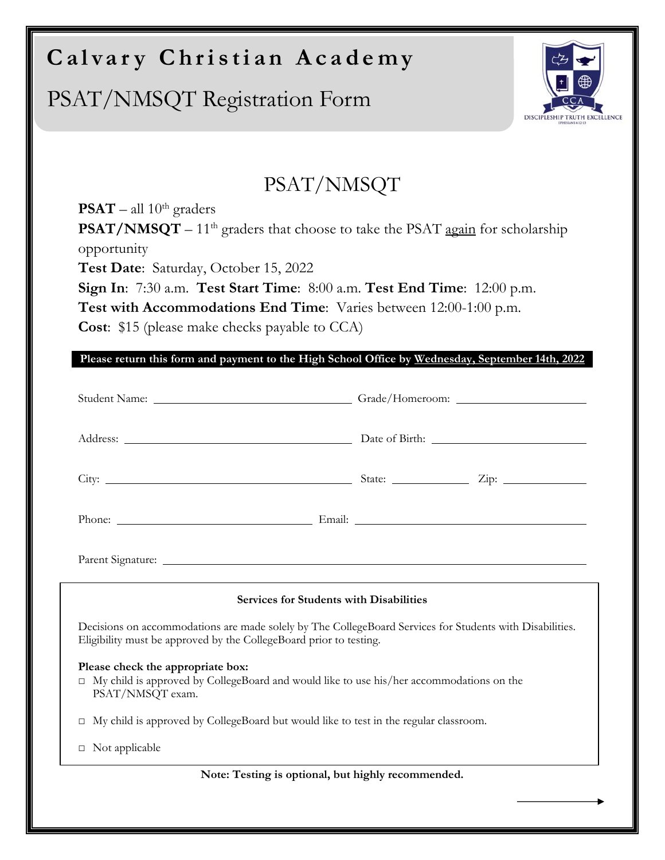## **Calvary Christian Academy**

## PSAT/NMSQT Registration Form



## PSAT/NMSQT

**PSAT** – all  $10^{th}$  graders **PSAT/NMSQT** – 11<sup>th</sup> graders that choose to take the PSAT  $\frac{again}{}$  for scholarship opportunity **Test Date**: Saturday, October 15, 2022 **Sign In**: 7:30 a.m. **Test Start Time**: 8:00 a.m. **Test End Time**: 12:00 p.m. **Test with Accommodations End Time**: Varies between 12:00-1:00 p.m.

**Cost**: \$15 (please make checks payable to CCA)

**Please return this form and payment to the High School Office by Wednesday, September 14th, 2022** 

| <b>Services for Students with Disabilities</b>                                                                                                                                 |  |  |  |
|--------------------------------------------------------------------------------------------------------------------------------------------------------------------------------|--|--|--|
| Decisions on accommodations are made solely by The CollegeBoard Services for Students with Disabilities.<br>Eligibility must be approved by the CollegeBoard prior to testing. |  |  |  |
| Please check the appropriate box:<br>□ My child is approved by CollegeBoard and would like to use his/her accommodations on the<br>PSAT/NMSQT exam.                            |  |  |  |
| My child is approved by CollegeBoard but would like to test in the regular classroom.<br>$\Box$                                                                                |  |  |  |
| $\Box$ Not applicable                                                                                                                                                          |  |  |  |
| Note: Testing is optional, but highly recommended.                                                                                                                             |  |  |  |